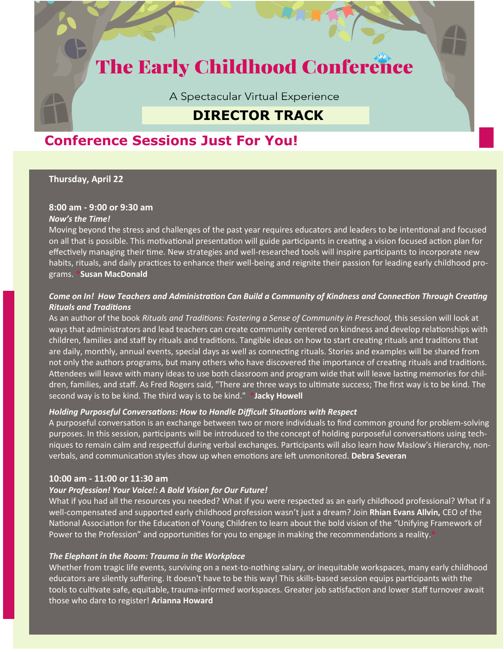# **The Early Childhood Conference**

A Spectacular Virtual Experience

# **DIRECTOR TRACK**

# **Conference Sessions Just For You!**

# **Thursday, April 22**

# **8:00 am - 9:00 or 9:30 am**

# *Now's the Time!*

Moving beyond the stress and challenges of the past year requires educators and leaders to be intentional and focused on all that is possible. This motivational presentation will guide participants in creating a vision focused action plan for effectively managing their time. New strategies and well-researched tools will inspire participants to incorporate new habits, rituals, and daily practices to enhance their well-being and reignite their passion for leading early childhood programs. **\*Susan MacDonald**

# *Come on In! How Teachers and Administration Can Build a Community of Kindness and Connection Through Creating Rituals and Traditions*

As an author of the book *Rituals and Traditions: Fostering a Sense of Community in Preschool,* this session will look at ways that administrators and lead teachers can create community centered on kindness and develop relationships with children, families and staff by rituals and traditions. Tangible ideas on how to start creating rituals and traditions that are daily, monthly, annual events, special days as well as connecting rituals. Stories and examples will be shared from not only the authors programs, but many others who have discovered the importance of creating rituals and traditions. Attendees will leave with many ideas to use both classroom and program wide that will leave lasting memories for children, families, and staff. As Fred Rogers said, "There are three ways to ultimate success; The first way is to be kind. The second way is to be kind. The third way is to be kind." **\*Jacky Howell**

# *Holding Purposeful Conversations: How to Handle Difficult Situations with Respect*

A purposeful conversation is an exchange between two or more individuals to find common ground for problem-solving purposes. In this session, participants will be introduced to the concept of holding purposeful conversations using techniques to remain calm and respectful during verbal exchanges. Participants will also learn how Maslow's Hierarchy, nonverbals, and communication styles show up when emotions are left unmonitored. **Debra Severan**

# **10:00 am - 11:00 or 11:30 am**

# *Your Profession! Your Voice!: A Bold Vision for Our Future!*

What if you had all the resources you needed? What if you were respected as an early childhood professional? What if a well-compensated and supported early childhood profession wasn't just a dream? Join **Rhian Evans Allvin,** CEO of the National Association for the Education of Young Children to learn about the bold vision of the "Unifying Framework of Power to the Profession" and opportunities for you to engage in making the recommendations a reality.**\***

# *The Elephant in the Room: Trauma in the Workplace*

Whether from tragic life events, surviving on a next-to-nothing salary, or inequitable workspaces, many early childhood educators are silently suffering. It doesn't have to be this way! This skills-based session equips participants with the tools to cultivate safe, equitable, trauma-informed workspaces. Greater job satisfaction and lower staff turnover await those who dare to register! **Arianna Howard**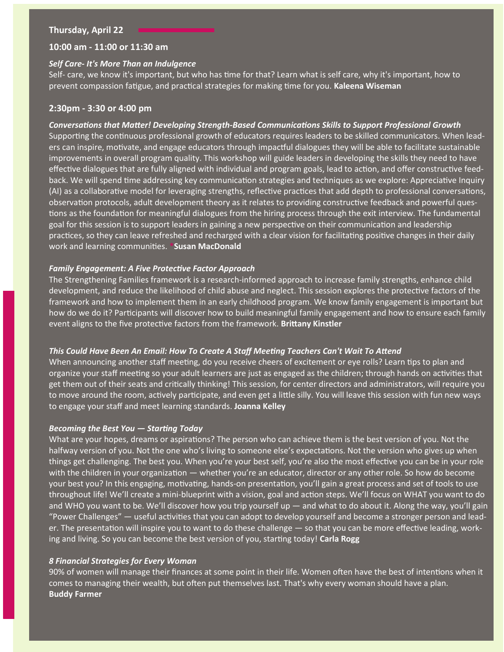#### **Thursday, April 22**

#### **10:00 am - 11:00 or 11:30 am**

#### *Self Care- It's More Than an Indulgence*

Self- care, we know it's important, but who has time for that? Learn what is self care, why it's important, how to prevent compassion fatigue, and practical strategies for making time for you. **Kaleena Wiseman**

# **2:30pm - 3:30 or 4:00 pm**

#### *Conversations that Matter! Developing Strength-Based Communications Skills to Support Professional Growth*

Supporting the continuous professional growth of educators requires leaders to be skilled communicators. When leaders can inspire, motivate, and engage educators through impactful dialogues they will be able to facilitate sustainable improvements in overall program quality. This workshop will guide leaders in developing the skills they need to have effective dialogues that are fully aligned with individual and program goals, lead to action, and offer constructive feedback. We will spend time addressing key communication strategies and techniques as we explore: Appreciative Inquiry (AI) as a collaborative model for leveraging strengths, reflective practices that add depth to professional conversations, observation protocols, adult development theory as it relates to providing constructive feedback and powerful questions as the foundation for meaningful dialogues from the hiring process through the exit interview. The fundamental goal for this session is to support leaders in gaining a new perspective on their communication and leadership practices, so they can leave refreshed and recharged with a clear vision for facilitating positive changes in their daily work and learning communities. **\*Susan MacDonald**

#### *Family Engagement: A Five Protective Factor Approach*

The Strengthening Families framework is a research-informed approach to increase family strengths, enhance child development, and reduce the likelihood of child abuse and neglect. This session explores the protective factors of the framework and how to implement them in an early childhood program. We know family engagement is important but how do we do it? Participants will discover how to build meaningful family engagement and how to ensure each family event aligns to the five protective factors from the framework. **Brittany Kinstler**

#### *This Could Have Been An Email: How To Create A Staff Meeting Teachers Can't Wait To Attend*

When announcing another staff meeting, do you receive cheers of excitement or eye rolls? Learn tips to plan and organize your staff meeting so your adult learners are just as engaged as the children; through hands on activities that get them out of their seats and critically thinking! This session, for center directors and administrators, will require you to move around the room, actively participate, and even get a little silly. You will leave this session with fun new ways to engage your staff and meet learning standards. **Joanna Kelley**

#### *Becoming the Best You — Starting Today*

What are your hopes, dreams or aspirations? The person who can achieve them is the best version of you. Not the halfway version of you. Not the one who's living to someone else's expectations. Not the version who gives up when things get challenging. The best you. When you're your best self, you're also the most effective you can be in your role with the children in your organization — whether you're an educator, director or any other role. So how do become your best you? In this engaging, motivating, hands-on presentation, you'll gain a great process and set of tools to use throughout life! We'll create a mini-blueprint with a vision, goal and action steps. We'll focus on WHAT you want to do and WHO you want to be. We'll discover how you trip yourself up — and what to do about it. Along the way, you'll gain "Power Challenges" — useful activities that you can adopt to develop yourself and become a stronger person and leader. The presentation will inspire you to want to do these challenge — so that you can be more effective leading, working and living. So you can become the best version of you, starting today! **Carla Rogg**

# *8 Financial Strategies for Every Woman*

90% of women will manage their finances at some point in their life. Women often have the best of intentions when it comes to managing their wealth, but often put themselves last. That's why every woman should have a plan. **Buddy Farmer**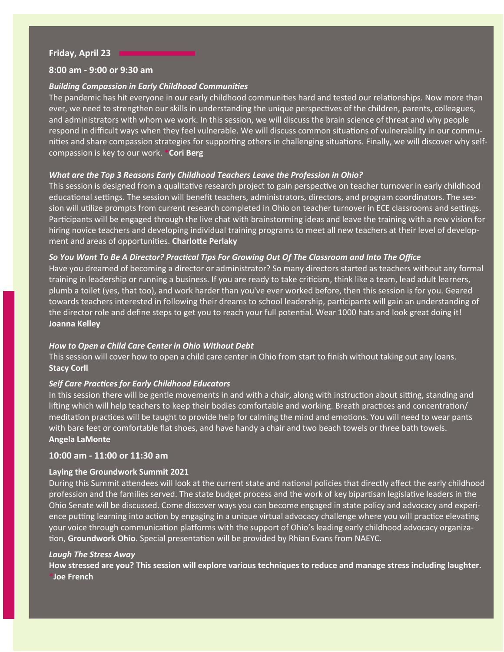# **Friday, April 23**

# **8:00 am - 9:00 or 9:30 am**

# *Building Compassion in Early Childhood Communities*

The pandemic has hit everyone in our early childhood communities hard and tested our relationships. Now more than ever, we need to strengthen our skills in understanding the unique perspectives of the children, parents, colleagues, and administrators with whom we work. In this session, we will discuss the brain science of threat and why people respond in difficult ways when they feel vulnerable. We will discuss common situations of vulnerability in our communities and share compassion strategies for supporting others in challenging situations. Finally, we will discover why selfcompassion is key to our work. **\*Cori Berg**

# *What are the Top 3 Reasons Early Childhood Teachers Leave the Profession in Ohio?*

This session is designed from a qualitative research project to gain perspective on teacher turnover in early childhood educational settings. The session will benefit teachers, administrators, directors, and program coordinators. The session will utilize prompts from current research completed in Ohio on teacher turnover in ECE classrooms and settings. Participants will be engaged through the live chat with brainstorming ideas and leave the training with a new vision for hiring novice teachers and developing individual training programs to meet all new teachers at their level of development and areas of opportunities. **Charlotte Perlaky**

# *So You Want To Be A Director? Practical Tips For Growing Out Of The Classroom and Into The Office*

Have you dreamed of becoming a director or administrator? So many directors started as teachers without any formal training in leadership or running a business. If you are ready to take criticism, think like a team, lead adult learners, plumb a toilet (yes, that too), and work harder than you've ever worked before, then this session is for you. Geared towards teachers interested in following their dreams to school leadership, participants will gain an understanding of the director role and define steps to get you to reach your full potential. Wear 1000 hats and look great doing it! **Joanna Kelley**

# *How to Open a Child Care Center in Ohio Without Debt*

This session will cover how to open a child care center in Ohio from start to finish without taking out any loans. **Stacy Corll**

# *Self Care Practices for Early Childhood Educators*

In this session there will be gentle movements in and with a chair, along with instruction about sitting, standing and lifting which will help teachers to keep their bodies comfortable and working. Breath practices and concentration/ meditation practices will be taught to provide help for calming the mind and emotions. You will need to wear pants with bare feet or comfortable flat shoes, and have handy a chair and two beach towels or three bath towels. **Angela LaMonte**

# **10:00 am - 11:00 or 11:30 am**

# **Laying the Groundwork Summit 2021**

During this Summit attendees will look at the current state and national policies that directly affect the early childhood profession and the families served. The state budget process and the work of key bipartisan legislative leaders in the Ohio Senate will be discussed. Come discover ways you can become engaged in state policy and advocacy and experience putting learning into action by engaging in a unique virtual advocacy challenge where you will practice elevating your voice through communication platforms with the support of Ohio's leading early childhood advocacy organization, **Groundwork Ohio**. Special presentation will be provided by Rhian Evans from NAEYC.

# *Laugh The Stress Away*

**How stressed are you? This session will explore various techniques to reduce and manage stress including laughter. \*Joe French**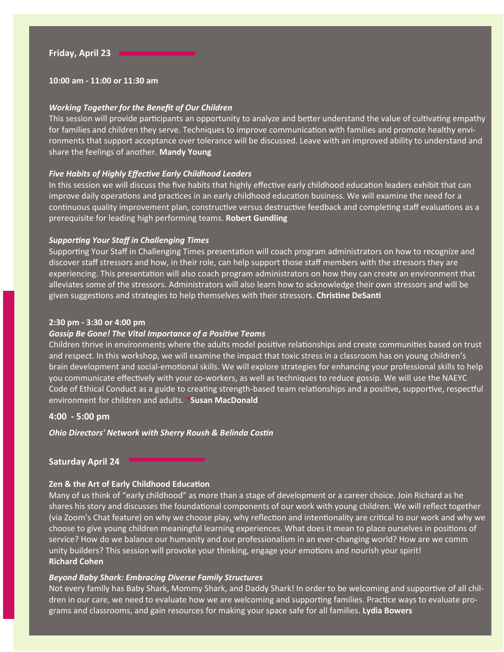**10:00 am - 11:00 or 11:30 am** 

#### *Working Together for the Benefit of Our Children*

This session will provide participants an opportunity to analyze and better understand the value of cultivating empathy for families and children they serve. Techniques to improve communication with families and promote healthy environments that support acceptance over tolerance will be discussed. Leave with an improved ability to understand and share the feelings of another. **Mandy Young**

#### *Five Habits of Highly Effective Early Childhood Leaders*

In this session we will discuss the five habits that highly effective early childhood education leaders exhibit that can improve daily operations and practices in an early childhood education business. We will examine the need for a continuous quality improvement plan, constructive versus destructive feedback and completing staff evaluations as a prerequisite for leading high performing teams. **Robert Gundling**

#### *Supporting Your Staff in Challenging Times*

Supporting Your Staff in Challenging Times presentation will coach program administrators on how to recognize and discover staff stressors and how, in their role, can help support those staff members with the stressors they are experiencing. This presentation will also coach program administrators on how they can create an environment that alleviates some of the stressors. Administrators will also learn how to acknowledge their own stressors and will be given suggestions and strategies to help themselves with their stressors. **Christine DeSanti**

#### **2:30 pm - 3:30 or 4:00 pm**

#### *Gossip Be Gone! The Vital Importance of a Positive Teams*

Children thrive in environments where the adults model positive relationships and create communities based on trust and respect. In this workshop, we will examine the impact that toxic stress in a classroom has on young children's brain development and social-emotional skills. We will explore strategies for enhancing your professional skills to help you communicate effectively with your co-workers, as well as techniques to reduce gossip. We will use the NAEYC Code of Ethical Conduct as a guide to creating strength-based team relationships and a positive, supportive, respectful environment for children and adults. **\*Susan MacDonald**

#### **4:00 - 5:00 pm**

*Ohio Directors' Network with Sherry Roush & Belinda Costin*

# **Saturday April 24**

# **Zen & the Art of Early Childhood Education**

Many of us think of "early childhood" as more than a stage of development or a career choice. Join Richard as he shares his story and discusses the foundational components of our work with young children. We will reflect together (via Zoom's Chat feature) on why we choose play, why reflection and intentionality are critical to our work and why we choose to give young children meaningful learning experiences. What does it mean to place ourselves in positions of service? How do we balance our humanity and our professionalism in an ever-changing world? How are we comm unity builders? This session will provoke your thinking, engage your emotions and nourish your spirit! **Richard Cohen**

#### *Beyond Baby Shark: Embracing Diverse Family Structures*

Not every family has Baby Shark, Mommy Shark, and Daddy Shark! In order to be welcoming and supportive of all children in our care, we need to evaluate how we are welcoming and supporting families. Practice ways to evaluate programs and classrooms, and gain resources for making your space safe for all families. **Lydia Bowers**